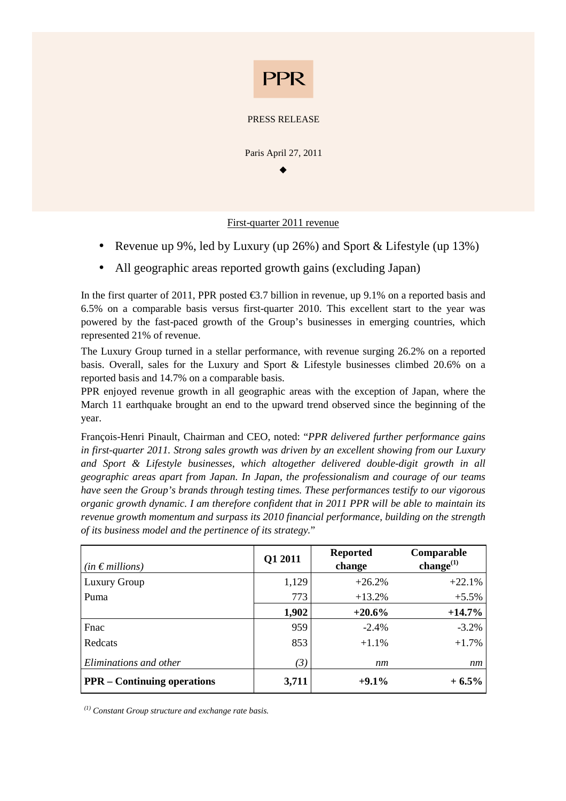

#### PRESS RELEASE

Paris April 27, 2011  $\bullet$ 

### First-quarter 2011 revenue

- Revenue up 9%, led by Luxury (up 26%) and Sport & Lifestyle (up 13%)
- All geographic areas reported growth gains (excluding Japan)

In the first quarter of 2011, PPR posted  $\epsilon$ 3.7 billion in revenue, up 9.1% on a reported basis and 6.5% on a comparable basis versus first-quarter 2010. This excellent start to the year was powered by the fast-paced growth of the Group's businesses in emerging countries, which represented 21% of revenue.

The Luxury Group turned in a stellar performance, with revenue surging 26.2% on a reported basis. Overall, sales for the Luxury and Sport & Lifestyle businesses climbed 20.6% on a reported basis and 14.7% on a comparable basis.

PPR enjoyed revenue growth in all geographic areas with the exception of Japan, where the March 11 earthquake brought an end to the upward trend observed since the beginning of the year.

François-Henri Pinault, Chairman and CEO, noted: "*PPR delivered further performance gains in first-quarter 2011. Strong sales growth was driven by an excellent showing from our Luxury and Sport & Lifestyle businesses, which altogether delivered double-digit growth in all geographic areas apart from Japan. In Japan, the professionalism and courage of our teams have seen the Group's brands through testing times. These performances testify to our vigorous organic growth dynamic. I am therefore confident that in 2011 PPR will be able to maintain its revenue growth momentum and surpass its 2010 financial performance, building on the strength of its business model and the pertinence of its strategy.*"

| $(in \in millions)$                | Q1 2011 | <b>Reported</b><br>change | Comparable<br>change $^{(1)}$ |
|------------------------------------|---------|---------------------------|-------------------------------|
| <b>Luxury Group</b>                | 1,129   | $+26.2%$                  | $+22.1%$                      |
| Puma                               | 773     | $+13.2%$                  | $+5.5%$                       |
|                                    | 1,902   | $+20.6%$                  | $+14.7\%$                     |
| Fnac                               | 959     | $-2.4%$                   | $-3.2%$                       |
| Redcats                            | 853     | $+1.1\%$                  | $+1.7\%$                      |
| Eliminations and other             | (3)     | nm                        | nm                            |
| <b>PPR</b> – Continuing operations | 3,711   | $+9.1\%$                  | $+6.5\%$                      |

*(1) Constant Group structure and exchange rate basis.*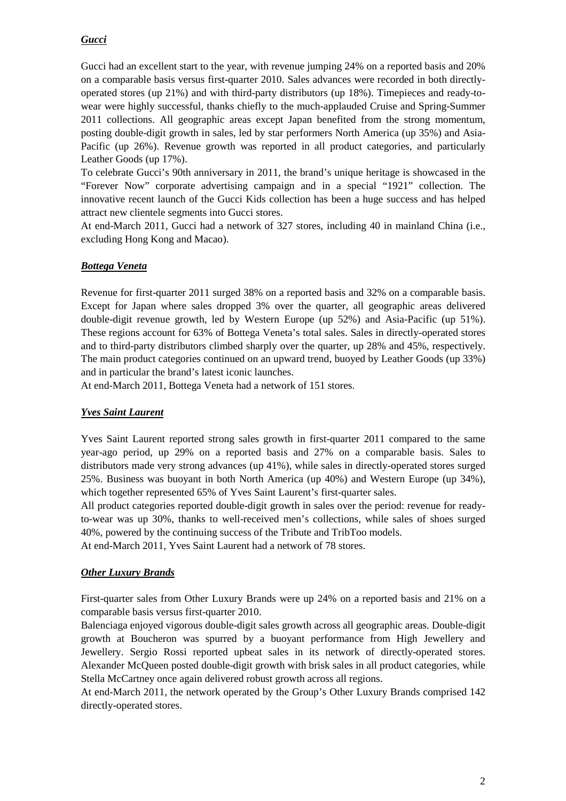# *Gucci*

Gucci had an excellent start to the year, with revenue jumping 24% on a reported basis and 20% on a comparable basis versus first-quarter 2010. Sales advances were recorded in both directlyoperated stores (up 21%) and with third-party distributors (up 18%). Timepieces and ready-towear were highly successful, thanks chiefly to the much-applauded Cruise and Spring-Summer 2011 collections. All geographic areas except Japan benefited from the strong momentum, posting double-digit growth in sales, led by star performers North America (up 35%) and Asia-Pacific (up 26%). Revenue growth was reported in all product categories, and particularly Leather Goods (up 17%).

To celebrate Gucci's 90th anniversary in 2011, the brand's unique heritage is showcased in the "Forever Now" corporate advertising campaign and in a special "1921" collection. The innovative recent launch of the Gucci Kids collection has been a huge success and has helped attract new clientele segments into Gucci stores.

At end-March 2011, Gucci had a network of 327 stores, including 40 in mainland China (i.e., excluding Hong Kong and Macao).

### *Bottega Veneta*

Revenue for first-quarter 2011 surged 38% on a reported basis and 32% on a comparable basis. Except for Japan where sales dropped 3% over the quarter, all geographic areas delivered double-digit revenue growth, led by Western Europe (up 52%) and Asia-Pacific (up 51%). These regions account for 63% of Bottega Veneta's total sales. Sales in directly-operated stores and to third-party distributors climbed sharply over the quarter, up 28% and 45%, respectively. The main product categories continued on an upward trend, buoyed by Leather Goods (up 33%) and in particular the brand's latest iconic launches.

At end-March 2011, Bottega Veneta had a network of 151 stores.

# *Yves Saint Laurent*

Yves Saint Laurent reported strong sales growth in first-quarter 2011 compared to the same year-ago period, up 29% on a reported basis and 27% on a comparable basis. Sales to distributors made very strong advances (up 41%), while sales in directly-operated stores surged 25%. Business was buoyant in both North America (up 40%) and Western Europe (up 34%), which together represented 65% of Yves Saint Laurent's first-quarter sales.

All product categories reported double-digit growth in sales over the period: revenue for readyto-wear was up 30%, thanks to well-received men's collections, while sales of shoes surged 40%, powered by the continuing success of the Tribute and TribToo models.

At end-March 2011, Yves Saint Laurent had a network of 78 stores.

# *Other Luxury Brands*

First-quarter sales from Other Luxury Brands were up 24% on a reported basis and 21% on a comparable basis versus first-quarter 2010.

Balenciaga enjoyed vigorous double-digit sales growth across all geographic areas. Double-digit growth at Boucheron was spurred by a buoyant performance from High Jewellery and Jewellery. Sergio Rossi reported upbeat sales in its network of directly-operated stores. Alexander McQueen posted double-digit growth with brisk sales in all product categories, while Stella McCartney once again delivered robust growth across all regions.

At end-March 2011, the network operated by the Group's Other Luxury Brands comprised 142 directly-operated stores.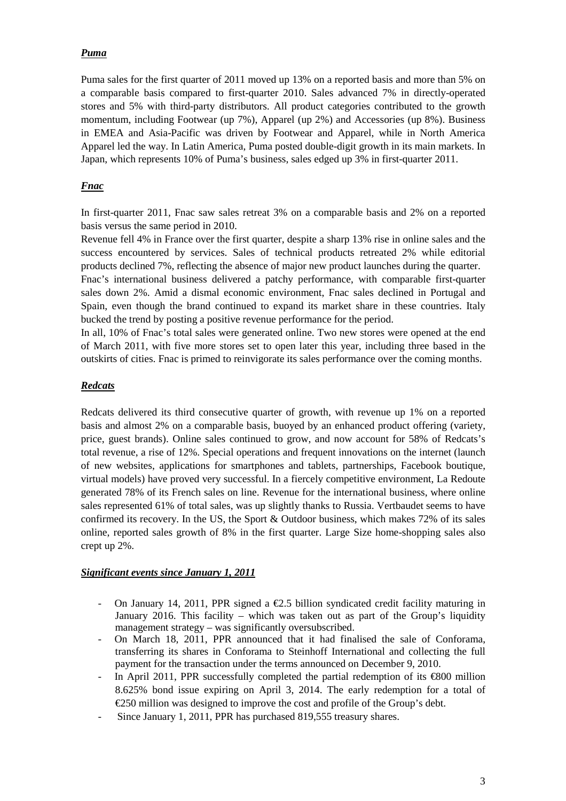### *Puma*

Puma sales for the first quarter of 2011 moved up 13% on a reported basis and more than 5% on a comparable basis compared to first-quarter 2010. Sales advanced 7% in directly-operated stores and 5% with third-party distributors. All product categories contributed to the growth momentum, including Footwear (up 7%), Apparel (up 2%) and Accessories (up 8%). Business in EMEA and Asia-Pacific was driven by Footwear and Apparel, while in North America Apparel led the way. In Latin America, Puma posted double-digit growth in its main markets. In Japan, which represents 10% of Puma's business, sales edged up 3% in first-quarter 2011.

### *Fnac*

In first-quarter 2011, Fnac saw sales retreat 3% on a comparable basis and 2% on a reported basis versus the same period in 2010.

Revenue fell 4% in France over the first quarter, despite a sharp 13% rise in online sales and the success encountered by services. Sales of technical products retreated 2% while editorial products declined 7%, reflecting the absence of major new product launches during the quarter.

Fnac's international business delivered a patchy performance, with comparable first-quarter sales down 2%. Amid a dismal economic environment, Fnac sales declined in Portugal and Spain, even though the brand continued to expand its market share in these countries. Italy bucked the trend by posting a positive revenue performance for the period.

In all, 10% of Fnac's total sales were generated online. Two new stores were opened at the end of March 2011, with five more stores set to open later this year, including three based in the outskirts of cities. Fnac is primed to reinvigorate its sales performance over the coming months.

### *Redcats*

Redcats delivered its third consecutive quarter of growth, with revenue up 1% on a reported basis and almost 2% on a comparable basis, buoyed by an enhanced product offering (variety, price, guest brands). Online sales continued to grow, and now account for 58% of Redcats's total revenue, a rise of 12%. Special operations and frequent innovations on the internet (launch of new websites, applications for smartphones and tablets, partnerships, Facebook boutique, virtual models) have proved very successful. In a fiercely competitive environment, La Redoute generated 78% of its French sales on line. Revenue for the international business, where online sales represented 61% of total sales, was up slightly thanks to Russia. Vertbaudet seems to have confirmed its recovery. In the US, the Sport & Outdoor business, which makes 72% of its sales online, reported sales growth of 8% in the first quarter. Large Size home-shopping sales also crept up 2%.

#### *Significant events since January 1, 2011*

- On January 14, 2011, PPR signed a  $\epsilon$ 2.5 billion syndicated credit facility maturing in January 2016. This facility – which was taken out as part of the Group's liquidity management strategy – was significantly oversubscribed.
- On March 18, 2011, PPR announced that it had finalised the sale of Conforama, transferring its shares in Conforama to Steinhoff International and collecting the full payment for the transaction under the terms announced on December 9, 2010.
- In April 2011, PPR successfully completed the partial redemption of its  $\epsilon$ 800 million 8.625% bond issue expiring on April 3, 2014. The early redemption for a total of €250 million was designed to improve the cost and profile of the Group's debt.
- Since January 1, 2011, PPR has purchased 819,555 treasury shares.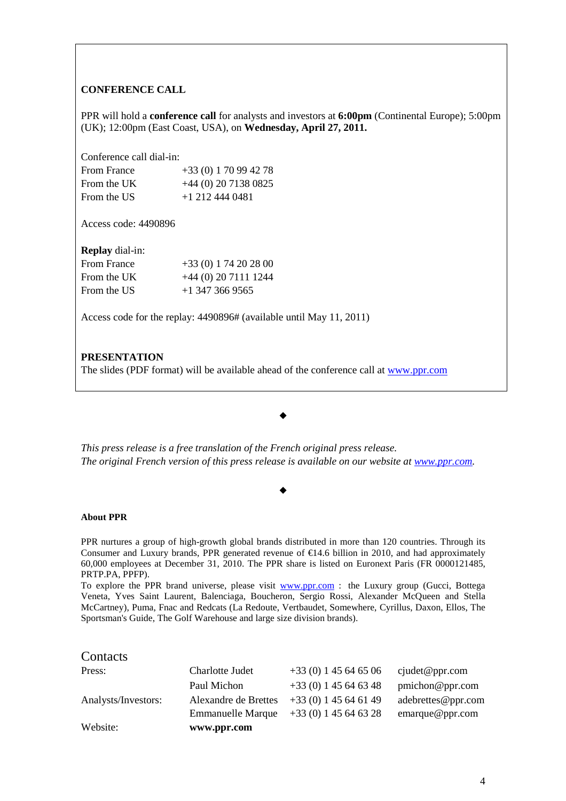#### **CONFERENCE CALL**

PPR will hold a **conference call** for analysts and investors at **6:00pm** (Continental Europe); 5:00pm (UK); 12:00pm (East Coast, USA), on **Wednesday, April 27, 2011.**

Conference call dial-in:

| <b>From France</b> | $+33(0) 170994278$     |
|--------------------|------------------------|
| From the UK        | $+44$ (0) 20 7138 0825 |
| From the US        | $+1$ 212 444 0481      |

Access code: 4490896

**Replay** dial-in:

| From France | $+33(0) 174202800$    |
|-------------|-----------------------|
| From the UK | $+44(0)$ 20 7111 1244 |
| From the US | $+1$ 347 366 9565     |

Access code for the replay: 4490896# (available until May 11, 2011)

#### **PRESENTATION**

The slides (PDF format) will be available ahead of the conference call at www.ppr.com

*This press release is a free translation of the French original press release. The original French version of this press release is available on our website at www.ppr.com.*

 $\bullet$ 

 $\bullet$ 

#### **About PPR**

PPR nurtures a group of high-growth global brands distributed in more than 120 countries. Through its Consumer and Luxury brands, PPR generated revenue of  $\epsilon$ 14.6 billion in 2010, and had approximately 60,000 employees at December 31, 2010. The PPR share is listed on Euronext Paris (FR 0000121485, PRTP.PA, PPFP).

To explore the PPR brand universe, please visit www.ppr.com : the Luxury group (Gucci, Bottega Veneta, Yves Saint Laurent, Balenciaga, Boucheron, Sergio Rossi, Alexander McQueen and Stella McCartney), Puma, Fnac and Redcats (La Redoute, Vertbaudet, Somewhere, Cyrillus, Daxon, Ellos, The Sportsman's Guide, The Golf Warehouse and large size division brands).

#### **Contacts**

| Website:            | www.ppr.com              |                        |                    |
|---------------------|--------------------------|------------------------|--------------------|
|                     | <b>Emmanuelle Marque</b> | $+33(0)$ 1 45 64 63 28 | emarque@ppr.com    |
| Analysts/Investors: | Alexandre de Brettes     | $+33(0)$ 1 45 64 61 49 | adebrettes@ppr.com |
|                     | Paul Michon              | $+33(0)$ 1 45 64 63 48 | pmichon@ppr.com    |
| Press:              | Charlotte Judet          | $+33(0)$ 1 45 64 65 06 | cjudet@ppr.com     |